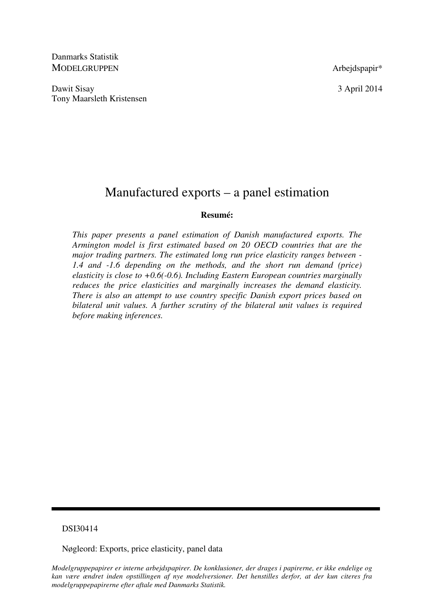Danmarks Statistik MODELGRUPPEN Arbeidspapir\*

Dawit Sisay 3 April 2014 Tony Maarsleth Kristensen

# Manufactured exports – a panel estimation

### **Resumé:**

*This paper presents a panel estimation of Danish manufactured exports. The Armington model is first estimated based on 20 OECD countries that are the major trading partners. The estimated long run price elasticity ranges between - 1.4 and -1.6 depending on the methods, and the short run demand (price) elasticity is close to +0.6(-0.6). Including Eastern European countries marginally reduces the price elasticities and marginally increases the demand elasticity. There is also an attempt to use country specific Danish export prices based on bilateral unit values. A further scrutiny of the bilateral unit values is required before making inferences.* 

#### DSI30414

Nøgleord: Exports, price elasticity, panel data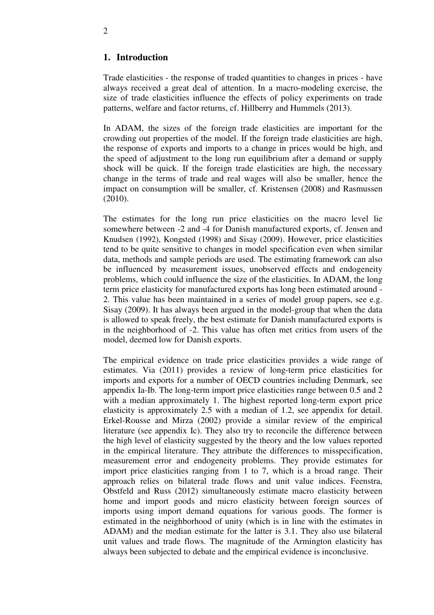## **1. Introduction**

Trade elasticities - the response of traded quantities to changes in prices - have always received a great deal of attention. In a macro-modeling exercise, the size of trade elasticities influence the effects of policy experiments on trade patterns, welfare and factor returns, cf. Hillberry and Hummels (2013).

In ADAM, the sizes of the foreign trade elasticities are important for the crowding out properties of the model. If the foreign trade elasticities are high, the response of exports and imports to a change in prices would be high, and the speed of adjustment to the long run equilibrium after a demand or supply shock will be quick. If the foreign trade elasticities are high, the necessary change in the terms of trade and real wages will also be smaller, hence the impact on consumption will be smaller, cf. Kristensen (2008) and Rasmussen (2010).

The estimates for the long run price elasticities on the macro level lie somewhere between -2 and -4 for Danish manufactured exports, cf. Jensen and Knudsen (1992), Kongsted (1998) and Sisay (2009). However, price elasticities tend to be quite sensitive to changes in model specification even when similar data, methods and sample periods are used. The estimating framework can also be influenced by measurement issues, unobserved effects and endogeneity problems, which could influence the size of the elasticities. In ADAM, the long term price elasticity for manufactured exports has long been estimated around - 2. This value has been maintained in a series of model group papers, see e.g. Sisay (2009). It has always been argued in the model-group that when the data is allowed to speak freely, the best estimate for Danish manufactured exports is in the neighborhood of -2. This value has often met critics from users of the model, deemed low for Danish exports.

The empirical evidence on trade price elasticities provides a wide range of estimates. Via (2011) provides a review of long-term price elasticities for imports and exports for a number of OECD countries including Denmark, see appendix Ia-Ib. The long-term import price elasticities range between 0.5 and 2 with a median approximately 1. The highest reported long-term export price elasticity is approximately 2.5 with a median of 1.2, see appendix for detail. Erkel-Rousse and Mirza (2002) provide a similar review of the empirical literature (see appendix Ic). They also try to reconcile the difference between the high level of elasticity suggested by the theory and the low values reported in the empirical literature. They attribute the differences to misspecification, measurement error and endogeneity problems. They provide estimates for import price elasticities ranging from 1 to 7, which is a broad range. Their approach relies on bilateral trade flows and unit value indices. Feenstra, Obstfeld and Russ (2012) simultaneously estimate macro elasticity between home and import goods and micro elasticity between foreign sources of imports using import demand equations for various goods. The former is estimated in the neighborhood of unity (which is in line with the estimates in ADAM) and the median estimate for the latter is 3.1. They also use bilateral unit values and trade flows. The magnitude of the Armington elasticity has always been subjected to debate and the empirical evidence is inconclusive.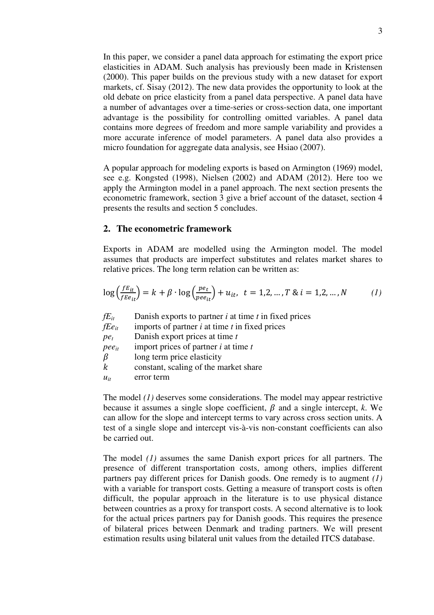In this paper, we consider a panel data approach for estimating the export price elasticities in ADAM. Such analysis has previously been made in Kristensen (2000). This paper builds on the previous study with a new dataset for export markets, cf. Sisay (2012). The new data provides the opportunity to look at the old debate on price elasticity from a panel data perspective. A panel data have a number of advantages over a time-series or cross-section data, one important advantage is the possibility for controlling omitted variables. A panel data contains more degrees of freedom and more sample variability and provides a more accurate inference of model parameters. A panel data also provides a micro foundation for aggregate data analysis, see Hsiao (2007).

A popular approach for modeling exports is based on Armington (1969) model, see e.g. Kongsted (1998), Nielsen (2002) and ADAM (2012). Here too we apply the Armington model in a panel approach. The next section presents the econometric framework, section 3 give a brief account of the dataset, section 4 presents the results and section 5 concludes.

#### **2. The econometric framework**

Exports in ADAM are modelled using the Armington model. The model assumes that products are imperfect substitutes and relates market shares to relative prices. The long term relation can be written as:

$$
\log\left(\frac{f_{Eit}}{f_{Ee_{it}}}\right) = k + \beta \cdot \log\left(\frac{p_{e_t}}{p_{e_{it}}}\right) + u_{it}, \ \ t = 1, 2, ..., T \& i = 1, 2, ..., N \tag{1}
$$

 $fE_{it}$  Danish exports to partner *i* at time *t* in fixed prices

*fEe* $_{it}$  imports of partner *i* at time *t* in fixed prices

*pe<sup>t</sup>* Danish export prices at time *t*

*peeit* import prices of partner *i* at time *t*

 $\beta$  long term price elasticity

 $k$  constant, scaling of the market share

*uit* error term

The model *(1)* deserves some considerations. The model may appear restrictive because it assumes a single slope coefficient,  $\beta$  and a single intercept,  $k$ . We can allow for the slope and intercept terms to vary across cross section units. A test of a single slope and intercept vis-à-vis non-constant coefficients can also be carried out.

The model *(1)* assumes the same Danish export prices for all partners. The presence of different transportation costs, among others, implies different partners pay different prices for Danish goods. One remedy is to augment *(1)* with a variable for transport costs. Getting a measure of transport costs is often difficult, the popular approach in the literature is to use physical distance between countries as a proxy for transport costs. A second alternative is to look for the actual prices partners pay for Danish goods. This requires the presence of bilateral prices between Denmark and trading partners. We will present estimation results using bilateral unit values from the detailed ITCS database.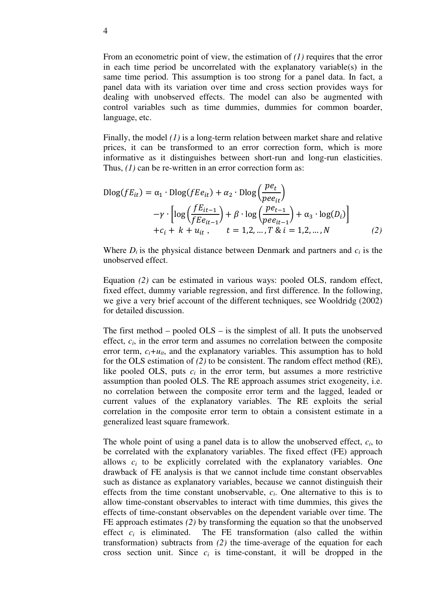From an econometric point of view, the estimation of *(1)* requires that the error in each time period be uncorrelated with the explanatory variable(s) in the same time period. This assumption is too strong for a panel data. In fact, a panel data with its variation over time and cross section provides ways for dealing with unobserved effects. The model can also be augmented with control variables such as time dummies, dummies for common boarder, language, etc.

Finally, the model *(1)* is a long-term relation between market share and relative prices, it can be transformed to an error correction form, which is more informative as it distinguishes between short-run and long-run elasticities. Thus, (1) can be re-written in an error correction form as:

$$
\begin{aligned} \text{Dlog}(fE_{it}) &= \alpha_1 \cdot \text{Dlog}(fEe_{it}) + \alpha_2 \cdot \text{Dlog}\left(\frac{pe_t}{pee_{it}}\right) \\ &- \gamma \cdot \left[ \log\left(\frac{fE_{it-1}}{fEe_{it-1}}\right) + \beta \cdot \log\left(\frac{pe_{t-1}}{pee_{it-1}}\right) + \alpha_3 \cdot \log(D_i) \right] \\ &+ c_i + k + u_{it}, \qquad t = 1, 2, \dots, T \& i = 1, 2, \dots, N \end{aligned} \tag{2}
$$

Where  $D_i$  is the physical distance between Denmark and partners and  $c_i$  is the unobserved effect.

Equation *(2)* can be estimated in various ways: pooled OLS, random effect, fixed effect, dummy variable regression, and first difference. In the following, we give a very brief account of the different techniques, see Wooldridg (2002) for detailed discussion.

The first method – pooled OLS – is the simplest of all. It puts the unobserved effect,  $c_i$ , in the error term and assumes no correlation between the composite error term,  $c_i + u_{it}$ , and the explanatory variables. This assumption has to hold for the OLS estimation of *(2)* to be consistent. The random effect method (RE), like pooled OLS, puts  $c_i$  in the error term, but assumes a more restrictive assumption than pooled OLS. The RE approach assumes strict exogeneity, i.e. no correlation between the composite error term and the lagged, leaded or current values of the explanatory variables. The RE exploits the serial correlation in the composite error term to obtain a consistent estimate in a generalized least square framework.

The whole point of using a panel data is to allow the unobserved effect, *c<sup>i</sup>* , to be correlated with the explanatory variables. The fixed effect (FE) approach allows  $c_i$  to be explicitly correlated with the explanatory variables. One drawback of FE analysis is that we cannot include time constant observables such as distance as explanatory variables, because we cannot distinguish their effects from the time constant unobservable,  $c_i$ . One alternative to this is to allow time-constant observables to interact with time dummies, this gives the effects of time-constant observables on the dependent variable over time. The FE approach estimates *(2)* by transforming the equation so that the unobserved effect *c<sub>i</sub>* is eliminated. The FE transformation (also called the within transformation) subtracts from *(2)* the time-average of the equation for each cross section unit. Since  $c_i$  is time-constant, it will be dropped in the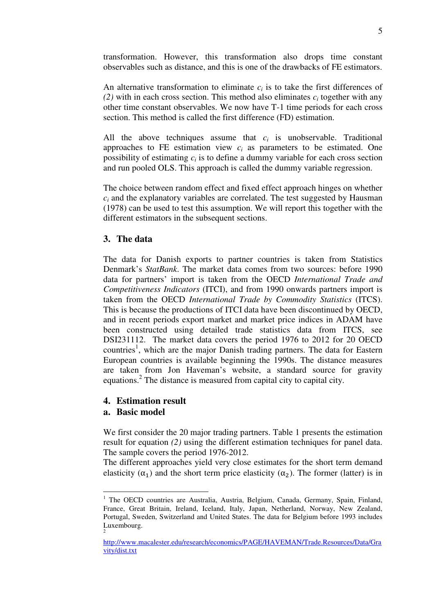transformation. However, this transformation also drops time constant observables such as distance, and this is one of the drawbacks of FE estimators.

An alternative transformation to eliminate  $c_i$  is to take the first differences of (2) with in each cross section. This method also eliminates  $c_i$  together with any other time constant observables. We now have T-1 time periods for each cross section. This method is called the first difference (FD) estimation.

All the above techniques assume that  $c_i$  is unobservable. Traditional approaches to FE estimation view  $c_i$  as parameters to be estimated. One possibility of estimating  $c_i$  is to define a dummy variable for each cross section and run pooled OLS. This approach is called the dummy variable regression.

The choice between random effect and fixed effect approach hinges on whether  $c_i$  and the explanatory variables are correlated. The test suggested by Hausman (1978) can be used to test this assumption. We will report this together with the different estimators in the subsequent sections.

### **3. The data**

The data for Danish exports to partner countries is taken from Statistics Denmark's *StatBank*. The market data comes from two sources: before 1990 data for partners' import is taken from the OECD *International Trade and Competitiveness Indicators* (ITCI), and from 1990 onwards partners import is taken from the OECD *International Trade by Commodity Statistics* (ITCS). This is because the productions of ITCI data have been discontinued by OECD, and in recent periods export market and market price indices in ADAM have been constructed using detailed trade statistics data from ITCS, see DSI231112. The market data covers the period 1976 to 2012 for 20 OECD countries<sup>1</sup>, which are the major Danish trading partners. The data for Eastern European countries is available beginning the 1990s. The distance measures are taken from Jon Haveman's website, a standard source for gravity equations.<sup>2</sup> The distance is measured from capital city to capital city.

# **4. Estimation result**

#### **a. Basic model**

<u>.</u>

We first consider the 20 major trading partners. Table 1 presents the estimation result for equation *(2)* using the different estimation techniques for panel data. The sample covers the period 1976-2012.

The different approaches yield very close estimates for the short term demand elasticity ( $\alpha_1$ ) and the short term price elasticity ( $\alpha_2$ ). The former (latter) is in

<sup>&</sup>lt;sup>1</sup> The OECD countries are Australia, Austria, Belgium, Canada, Germany, Spain, Finland, France, Great Britain, Ireland, Iceland, Italy, Japan, Netherland, Norway, New Zealand, Portugal, Sweden, Switzerland and United States. The data for Belgium before 1993 includes Luxembourg. 2

http://www.macalester.edu/research/economics/PAGE/HAVEMAN/Trade.Resources/Data/Gra vity/dist.txt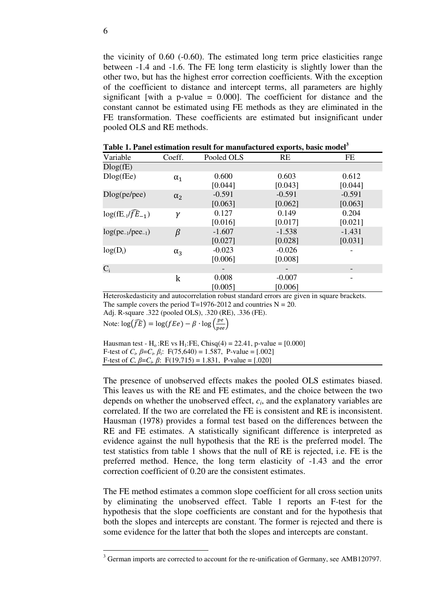the vicinity of 0.60 (-0.60). The estimated long term price elasticities range between -1.4 and -1.6. The FE long term elasticity is slightly lower than the other two, but has the highest error correction coefficients. With the exception of the coefficient to distance and intercept terms, all parameters are highly significant [with a p-value  $= 0.000$ ]. The coefficient for distance and the constant cannot be estimated using FE methods as they are eliminated in the FE transformation. These coefficients are estimated but insignificant under pooled OLS and RE methods.

| Variable                     | Coeff.       | Pooled OLS | <b>RE</b> | <b>FE</b>                |
|------------------------------|--------------|------------|-----------|--------------------------|
| Dlog(fE)                     |              |            |           |                          |
| $Dlog($ f $Ee)$              | $\alpha_1$   | 0.600      | 0.603     | 0.612                    |
|                              |              | [0.044]    | [0.043]   | [0.044]                  |
| Dlog(pe/pee)                 | $\alpha_2$   | $-0.591$   | $-0.591$  | $-0.591$                 |
|                              |              | [0.063]    | [0.062]   | [0.063]                  |
| $log(E_1/\widehat{fE}_{-1})$ | γ            | 0.127      | 0.149     | 0.204                    |
|                              |              | [0.016]    | [0.017]   | [0.021]                  |
| $log(pe_{-1}/pee_{-1})$      | β            | $-1.607$   | $-1.538$  | $-1.431$                 |
|                              |              | [0.027]    | [0.028]   | [0.031]                  |
| $log(D_i)$                   | $\alpha_{3}$ | $-0.023$   | $-0.026$  |                          |
|                              |              | [0.006]    | [0.008]   |                          |
| $C_i$                        |              | -          | -         | $\overline{\phantom{a}}$ |
|                              | k            | 0.008      | $-0.007$  | -                        |
|                              |              | [0.005]    | [0.006]   |                          |

**Table 1. Panel estimation result for manufactured exports, basic model<sup>3</sup>**

Heteroskedasticity and autocorrelation robust standard errors are given in square brackets. The sample covers the period  $T=1976-2012$  and countries  $N = 20$ . Adj. R-square .322 (pooled OLS), .320 (RE), .336 (FE). Note:  $\log(\widehat{f}\widehat{E}) = \log(fEe) - \beta \cdot \log\left(\frac{pe}{pee}\right)$ 

Hausman test - H<sub>o</sub>:RE vs H<sub>1</sub>:FE, Chisq(4) = 22.41, p-value = [0.000] F-test of  $C_i$ ,  $\beta = C_i$ ,  $\beta_i$ :  $F(75,640) = 1.587$ , P-value = [.002] F-test of *C*,  $\beta = C_i$ ,  $\beta$ : F(19,715) = 1.831, P-value = [.020]

The presence of unobserved effects makes the pooled OLS estimates biased. This leaves us with the RE and FE estimates, and the choice between the two depends on whether the unobserved effect, *c<sup>i</sup>* , and the explanatory variables are correlated. If the two are correlated the FE is consistent and RE is inconsistent. Hausman (1978) provides a formal test based on the differences between the RE and FE estimates. A statistically significant difference is interpreted as evidence against the null hypothesis that the RE is the preferred model. The test statistics from table 1 shows that the null of RE is rejected, i.e. FE is the preferred method. Hence, the long term elasticity of -1.43 and the error correction coefficient of 0.20 are the consistent estimates.

The FE method estimates a common slope coefficient for all cross section units by eliminating the unobserved effect. Table 1 reports an F-test for the hypothesis that the slope coefficients are constant and for the hypothesis that both the slopes and intercepts are constant. The former is rejected and there is some evidence for the latter that both the slopes and intercepts are constant.

-

 $3$  German imports are corrected to account for the re-unification of Germany, see AMB120797.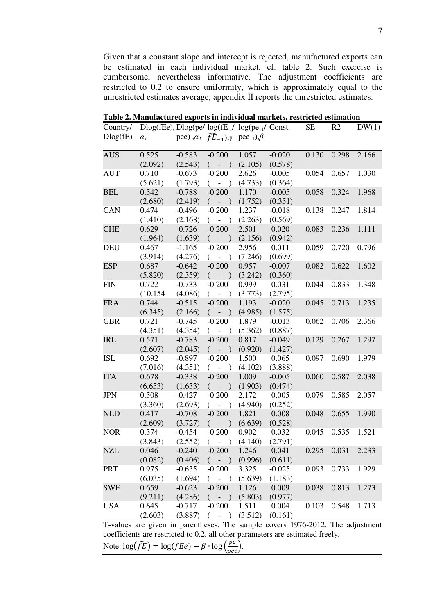Given that a constant slope and intercept is rejected, manufactured exports can be estimated in each individual market, cf. table 2. Such exercise is cumbersome, nevertheless informative. The adjustment coefficients are restricted to 0.2 to ensure uniformity, which is approximately equal to the unrestricted estimates average, appendix II reports the unrestricted estimates.

| Country/   | $Dlog($ fEe), $Dlog($ pe/ $log($ fE <sub>-1</sub> / $log($ pe <sub>-1</sub> / $Const.$ |                                                                       |                                                |         |          | <b>SE</b> | R2    | DW(1) |
|------------|----------------------------------------------------------------------------------------|-----------------------------------------------------------------------|------------------------------------------------|---------|----------|-----------|-------|-------|
| Dlog(fE)   | $\alpha_I$                                                                             | pee), $a_2 \widehat{fE}_{-1}$ , $\gamma$ pee <sub>-1</sub> ), $\beta$ |                                                |         |          |           |       |       |
|            |                                                                                        |                                                                       |                                                |         |          |           |       |       |
| <b>AUS</b> | 0.525                                                                                  | $-0.583$                                                              | $-0.200$                                       | 1.057   | $-0.020$ | 0.130     | 0.298 | 2.166 |
|            | (2.092)                                                                                | (2.543)                                                               | $(- - )$                                       | (2.105) | (0.578)  |           |       |       |
| <b>AUT</b> | 0.710                                                                                  | $-0.673$                                                              | $-0.200$                                       | 2.626   | $-0.005$ | 0.054     | 0.657 | 1.030 |
|            | (5.621)                                                                                | (1.793)                                                               | $(- - )$                                       | (4.733) | (0.364)  |           |       |       |
| <b>BEL</b> | 0.542                                                                                  | $-0.788$                                                              | $-0.200$                                       | 1.170   | $-0.005$ | 0.058     | 0.324 | 1.968 |
|            | (2.680)                                                                                | (2.419)                                                               | $(- - )$                                       | (1.752) | (0.351)  |           |       |       |
| CAN        | 0.474                                                                                  | $-0.496$                                                              | $-0.200$                                       | 1.237   | $-0.018$ | 0.138     | 0.247 | 1.814 |
|            | (1.410)                                                                                | (2.168)                                                               | $($ -<br>$\rightarrow$                         | (2.263) | (0.569)  |           |       |       |
| <b>CHE</b> | 0.629                                                                                  | $-0.726$                                                              | $-0.200$                                       | 2.501   | 0.020    | 0.083     | 0.236 | 1.111 |
|            | (1.964)                                                                                | (1.639)                                                               | $(- - )$                                       | (2.156) | (0.942)  |           |       |       |
| <b>DEU</b> | 0.467                                                                                  | $-1.165$                                                              | $-0.200$                                       | 2.956   | 0.011    | 0.059     | 0.720 | 0.796 |
|            | (3.914)                                                                                | (4.276)                                                               | $(- - )$                                       | (7.246) | (0.699)  |           |       |       |
| <b>ESP</b> | 0.687                                                                                  | $-0.642$                                                              | $-0.200$                                       | 0.957   | $-0.007$ | 0.082     | 0.622 | 1.602 |
|            | (5.820)                                                                                | (2.359)                                                               | $(- - )$                                       | (3.242) | (0.360)  |           |       |       |
| <b>FIN</b> | 0.722                                                                                  | $-0.733$                                                              | $-0.200$                                       | 0.999   | 0.031    | 0.044     | 0.833 | 1.348 |
|            | (10.154)                                                                               | (4.086)                                                               | $(- - )$                                       | (3.773) | (2.795)  |           |       |       |
| <b>FRA</b> | 0.744                                                                                  | $-0.515$                                                              | $-0.200$                                       | 1.193   | $-0.020$ | 0.045     | 0.713 | 1.235 |
|            | (6.345)                                                                                | (2.166)                                                               | $(- - )$                                       | (4.985) | (1.575)  |           |       |       |
| <b>GBR</b> | 0.721                                                                                  | $-0.745$                                                              | $-0.200$                                       | 1.879   | $-0.013$ | 0.062     | 0.706 | 2.366 |
|            | (4.351)                                                                                | (4.354)                                                               | $(- - )$                                       | (5.362) | (0.887)  |           |       |       |
| <b>IRL</b> | 0.571                                                                                  | $-0.783$                                                              | $-0.200$                                       | 0.817   | $-0.049$ | 0.129     | 0.267 | 1.297 |
|            | (2.607)                                                                                | (2.045)                                                               | $(- - )$                                       | (0.920) | (1.427)  |           |       |       |
| <b>ISL</b> | 0.692                                                                                  | $-0.897$                                                              | $-0.200$                                       | 1.500   | 0.065    | 0.097     | 0.690 | 1.979 |
|            | (7.016)                                                                                | (4.351)                                                               | $(- - )$                                       | (4.102) | (3.888)  |           |       |       |
| <b>ITA</b> | 0.678                                                                                  | $-0.338$                                                              | $-0.200$                                       | 1.009   | $-0.005$ | 0.060     | 0.587 | 2.038 |
|            | (6.653)                                                                                | (1.633)                                                               | $\blacksquare$<br>$\big)$<br>$\left($          | (1.903) | (0.474)  |           |       |       |
| <b>JPN</b> | 0.508                                                                                  | $-0.427$                                                              | $-0.200$                                       | 2.172   | 0.005    | 0.079     | 0.585 | 2.057 |
|            | (3.360)                                                                                | (2.693)                                                               | $\left($<br>$ )$                               | (4.940) | (0.252)  |           |       |       |
| <b>NLD</b> | 0.417                                                                                  | $-0.708$                                                              | $-0.200$                                       | 1.821   | 0.008    | 0.048     | 0.655 | 1.990 |
|            | (2.609)                                                                                | (3.727)                                                               | $(- - )$                                       | (6.639) | (0.528)  |           |       |       |
| <b>NOR</b> | 0.374                                                                                  | $-0.454$                                                              | $-0.200$                                       | 0.902   | 0.032    | 0.045     | 0.535 | 1.521 |
|            | (3.843)                                                                                | (2.552)                                                               | $(- - )$                                       | (4.140) | (2.791)  |           |       |       |
| <b>NZL</b> | $0.046$ $-0.240$ $-0.200$ $1.246$ $0.041$ $0.295$ $0.031$                              |                                                                       |                                                |         |          |           |       | 2.233 |
|            | (0.082)                                                                                | (0.406)                                                               | $(- - )$                                       | (0.996) | (0.611)  |           |       |       |
| <b>PRT</b> | 0.975                                                                                  | $-0.635$                                                              | $-0.200$                                       | 3.325   | $-0.025$ | 0.093     | 0.733 | 1.929 |
|            | (6.035)                                                                                | (1.694)                                                               | $\overline{\phantom{a}}$<br>(<br>$\rightarrow$ | (5.639) | (1.183)  |           |       |       |
| <b>SWE</b> | 0.659                                                                                  | $-0.623$                                                              | $-0.200$                                       | 1.126   | 0.009    | 0.038     | 0.813 | 1.273 |
|            | (9.211)                                                                                | (4.286)                                                               | $(- - )$                                       | (5.803) | (0.977)  |           |       |       |
| <b>USA</b> | 0.645                                                                                  | $-0.717$                                                              | $-0.200$                                       | 1.511   | 0.004    | 0.103     | 0.548 | 1.713 |
|            | (2.603)                                                                                | (3.887)                                                               | $($ - $)$                                      | (3.512) | (0.161)  |           |       |       |

**Table 2. Manufactured exports in individual markets, restricted estimation**

T-values are given in parentheses. The sample covers 1976-2012. The adjustment coefficients are restricted to 0.2, all other parameters are estimated freely. Note:  $\log(\widehat{f}\widehat{E}) = \log( f E e) - \beta \cdot \log\left(\frac{pe}{p e e}\right)$ .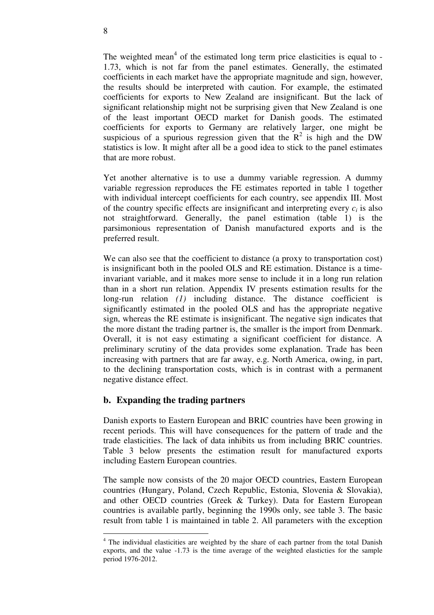The weighted mean<sup>4</sup> of the estimated long term price elasticities is equal to -1.73, which is not far from the panel estimates. Generally, the estimated coefficients in each market have the appropriate magnitude and sign, however, the results should be interpreted with caution. For example, the estimated coefficients for exports to New Zealand are insignificant. But the lack of significant relationship might not be surprising given that New Zealand is one of the least important OECD market for Danish goods. The estimated coefficients for exports to Germany are relatively larger, one might be suspicious of a spurious regression given that the  $R^2$  is high and the DW statistics is low. It might after all be a good idea to stick to the panel estimates that are more robust.

Yet another alternative is to use a dummy variable regression. A dummy variable regression reproduces the FE estimates reported in table 1 together with individual intercept coefficients for each country, see appendix III. Most of the country specific effects are insignificant and interpreting every  $c_i$  is also not straightforward. Generally, the panel estimation (table 1) is the parsimonious representation of Danish manufactured exports and is the preferred result.

We can also see that the coefficient to distance (a proxy to transportation cost) is insignificant both in the pooled OLS and RE estimation. Distance is a timeinvariant variable, and it makes more sense to include it in a long run relation than in a short run relation. Appendix IV presents estimation results for the long-run relation *(1)* including distance. The distance coefficient is significantly estimated in the pooled OLS and has the appropriate negative sign, whereas the RE estimate is insignificant. The negative sign indicates that the more distant the trading partner is, the smaller is the import from Denmark. Overall, it is not easy estimating a significant coefficient for distance. A preliminary scrutiny of the data provides some explanation. Trade has been increasing with partners that are far away, e.g. North America, owing, in part, to the declining transportation costs, which is in contrast with a permanent negative distance effect.

### **b. Expanding the trading partners**

-

Danish exports to Eastern European and BRIC countries have been growing in recent periods. This will have consequences for the pattern of trade and the trade elasticities. The lack of data inhibits us from including BRIC countries. Table 3 below presents the estimation result for manufactured exports including Eastern European countries.

The sample now consists of the 20 major OECD countries, Eastern European countries (Hungary, Poland, Czech Republic, Estonia, Slovenia & Slovakia), and other OECD countries (Greek & Turkey). Data for Eastern European countries is available partly, beginning the 1990s only, see table 3. The basic result from table 1 is maintained in table 2. All parameters with the exception

<sup>&</sup>lt;sup>4</sup> The individual elasticities are weighted by the share of each partner from the total Danish exports, and the value -1.73 is the time average of the weighted elasticties for the sample period 1976-2012.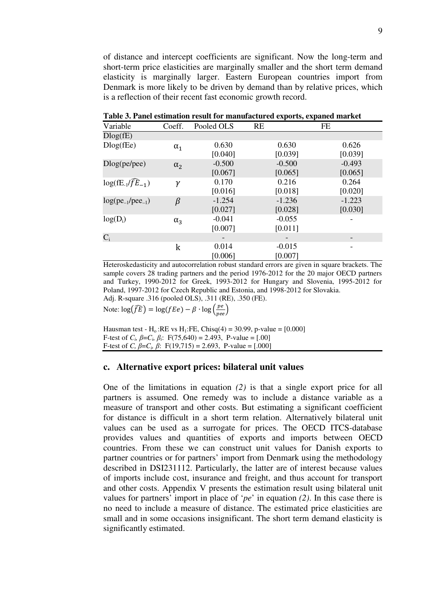of distance and intercept coefficients are significant. Now the long-term and short-term price elasticities are marginally smaller and the short term demand elasticity is marginally larger. Eastern European countries import from Denmark is more likely to be driven by demand than by relative prices, which is a reflection of their recent fast economic growth record.

| Variable                     | Coeff.     | Pooled OLS | RE       | <b>FE</b> |
|------------------------------|------------|------------|----------|-----------|
| Dlog(fE)                     |            |            |          |           |
| $Dlog($ fEe $)$              | $\alpha_1$ | 0.630      | 0.630    | 0.626     |
|                              |            | [0.040]    | [0.039]  | [0.039]   |
| Dlog(pe/pec)                 | $\alpha_2$ | $-0.500$   | $-0.500$ | $-0.493$  |
|                              |            | [0.067]    | [0.065]  | [0.065]   |
| $log(E_1/\widehat{fE}_{-1})$ | γ          | 0.170      | 0.216    | 0.264     |
|                              |            | [0.016]    | [0.018]  | [0.020]   |
| $log(pe_{-1}/pee_{-1})$      | $\beta$    | $-1.254$   | $-1.236$ | $-1.223$  |
|                              |            | [0.027]    | [0.028]  | [0.030]   |
| $log(D_i)$                   | $\alpha_3$ | $-0.041$   | $-0.055$ |           |
|                              |            | [0.007]    | [0.011]  |           |
| $C_i$                        |            | -          |          |           |
|                              | k          | 0.014      | $-0.015$ | -         |
|                              |            | [0.006]    | [0.007]  |           |

**Table 3. Panel estimation result for manufactured exports, expaned market** 

Heteroskedasticity and autocorrelation robust standard errors are given in square brackets. The sample covers 28 trading partners and the period 1976-2012 for the 20 major OECD partners and Turkey, 1990-2012 for Greek, 1993-2012 for Hungary and Slovenia, 1995-2012 for Poland, 1997-2012 for Czech Republic and Estonia, and 1998-2012 for Slovakia. Adj. R-square .316 (pooled OLS), .311 (RE), .350 (FE).

Note:  $\log(\widehat{f}\widehat{E}) = \log(fEe) - \beta \cdot \log\left(\frac{pe}{pee}\right)$ 

Hausman test - H<sub>o</sub>:RE vs H<sub>1</sub>:FE, Chisq(4) = 30.99, p-value = [0.000] F-test of  $C_i$ ,  $\beta = C_i$ ,  $\beta_i$ : F(75,640) = 2.493, P-value = [.00] F-test of *C*,  $\beta = C_i$ ,  $\beta$ : F(19,715) = 2.693, P-value = [.000]

#### **c. Alternative export prices: bilateral unit values**

One of the limitations in equation *(2)* is that a single export price for all partners is assumed. One remedy was to include a distance variable as a measure of transport and other costs. But estimating a significant coefficient for distance is difficult in a short term relation. Alternatively bilateral unit values can be used as a surrogate for prices. The OECD ITCS-database provides values and quantities of exports and imports between OECD countries. From these we can construct unit values for Danish exports to partner countries or for partners' import from Denmark using the methodology described in DSI231112. Particularly, the latter are of interest because values of imports include cost, insurance and freight, and thus account for transport and other costs. Appendix V presents the estimation result using bilateral unit values for partners' import in place of '*pe*' in equation *(2)*. In this case there is no need to include a measure of distance. The estimated price elasticities are small and in some occasions insignificant. The short term demand elasticity is significantly estimated.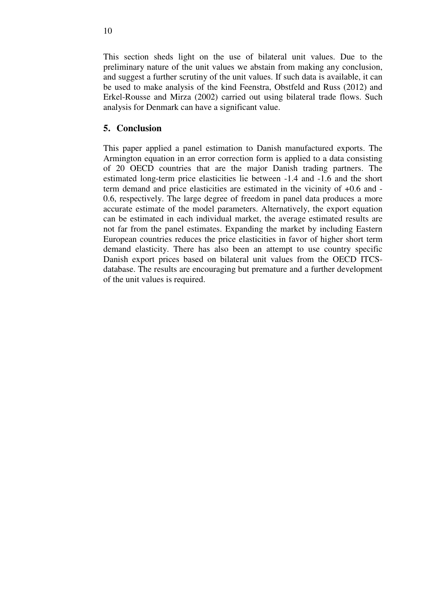This section sheds light on the use of bilateral unit values. Due to the preliminary nature of the unit values we abstain from making any conclusion, and suggest a further scrutiny of the unit values. If such data is available, it can be used to make analysis of the kind Feenstra, Obstfeld and Russ (2012) and Erkel-Rousse and Mirza (2002) carried out using bilateral trade flows. Such analysis for Denmark can have a significant value.

## **5. Conclusion**

This paper applied a panel estimation to Danish manufactured exports. The Armington equation in an error correction form is applied to a data consisting of 20 OECD countries that are the major Danish trading partners. The estimated long-term price elasticities lie between -1.4 and -1.6 and the short term demand and price elasticities are estimated in the vicinity of +0.6 and - 0.6, respectively. The large degree of freedom in panel data produces a more accurate estimate of the model parameters. Alternatively, the export equation can be estimated in each individual market, the average estimated results are not far from the panel estimates. Expanding the market by including Eastern European countries reduces the price elasticities in favor of higher short term demand elasticity. There has also been an attempt to use country specific Danish export prices based on bilateral unit values from the OECD ITCSdatabase. The results are encouraging but premature and a further development of the unit values is required.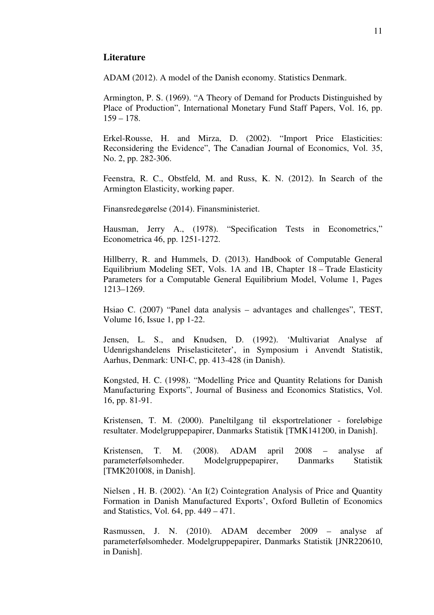#### **Literature**

ADAM (2012). A model of the Danish economy. Statistics Denmark.

Armington, P. S. (1969). "A Theory of Demand for Products Distinguished by Place of Production", International Monetary Fund Staff Papers, Vol. 16, pp.  $159 - 178.$ 

Erkel-Rousse, H. and Mirza, D. (2002). "Import Price Elasticities: Reconsidering the Evidence", The Canadian Journal of Economics, Vol. 35, No. 2, pp. 282-306.

Feenstra, R. C., Obstfeld, M. and Russ, K. N. (2012). In Search of the Armington Elasticity, working paper.

Finansredegørelse (2014). Finansministeriet.

Hausman, Jerry A., (1978). "Specification Tests in Econometrics," Econometrica 46, pp. 1251-1272.

Hillberry, R. and Hummels, D. (2013). Handbook of Computable General Equilibrium Modeling SET, Vols. 1A and 1B, Chapter 18 – Trade Elasticity Parameters for a Computable General Equilibrium Model, Volume 1, Pages 1213–1269.

Hsiao C. (2007) "Panel data analysis – advantages and challenges", TEST, Volume 16, Issue 1, pp 1-22.

Jensen, L. S., and Knudsen, D. (1992). 'Multivariat Analyse af Udenrigshandelens Priselasticiteter', in Symposium i Anvendt Statistik, Aarhus, Denmark: UNI-C, pp. 413-428 (in Danish).

Kongsted, H. C. (1998). "Modelling Price and Quantity Relations for Danish Manufacturing Exports", Journal of Business and Economics Statistics, Vol. 16, pp. 81-91.

Kristensen, T. M. (2000). Paneltilgang til eksportrelationer - foreløbige resultater. Modelgruppepapirer, Danmarks Statistik [TMK141200, in Danish].

Kristensen, T. M. (2008). ADAM april 2008 – analyse af parameterfølsomheder. Modelgruppepapirer, Danmarks Statistik [TMK201008, in Danish].

Nielsen , H. B. (2002). 'An I(2) Cointegration Analysis of Price and Quantity Formation in Danish Manufactured Exports', Oxford Bulletin of Economics and Statistics, Vol. 64, pp. 449 – 471.

Rasmussen, J. N. (2010). ADAM december 2009 – analyse af parameterfølsomheder. Modelgruppepapirer, Danmarks Statistik [JNR220610, in Danish].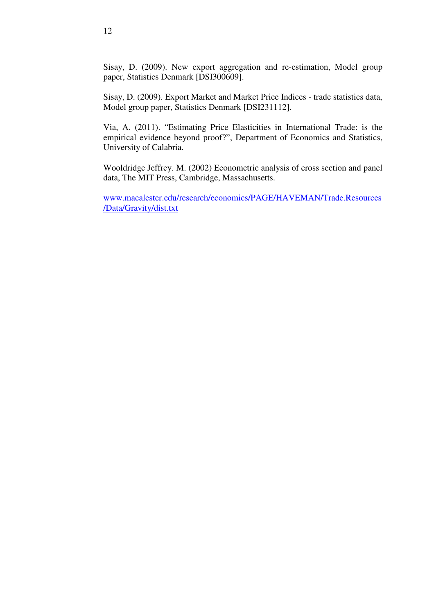Sisay, D. (2009). New export aggregation and re-estimation, Model group paper, Statistics Denmark [DSI300609].

Sisay, D. (2009). Export Market and Market Price Indices - trade statistics data, Model group paper, Statistics Denmark [DSI231112].

Via, A. (2011). "Estimating Price Elasticities in International Trade: is the empirical evidence beyond proof?", Department of Economics and Statistics, University of Calabria.

Wooldridge Jeffrey. M. (2002) Econometric analysis of cross section and panel data, The MIT Press, Cambridge, Massachusetts.

www.macalester.edu/research/economics/PAGE/HAVEMAN/Trade.Resources /Data/Gravity/dist.txt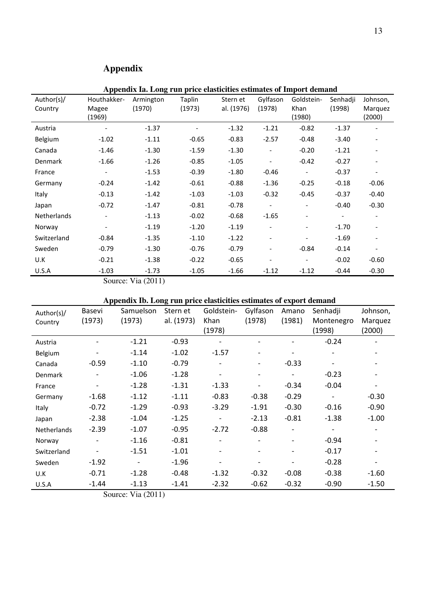# **Appendix**

|                    |             | Appendix Ia. Long run price elasticities estimates of Import demand |         |            |                          |                          |                          |                          |
|--------------------|-------------|---------------------------------------------------------------------|---------|------------|--------------------------|--------------------------|--------------------------|--------------------------|
| Author(s)/         | Houthakker- | Armington                                                           | Taplin  | Stern et   | Gylfason                 | Goldstein-               | Senhadji                 | Johnson,                 |
| Country            | Magee       | (1970)                                                              | (1973)  | al. (1976) | (1978)                   | Khan                     | (1998)                   | Marquez                  |
|                    | (1969)      |                                                                     |         |            |                          | (1980)                   |                          | (2000)                   |
| Austria            |             | $-1.37$                                                             |         | $-1.32$    | $-1.21$                  | $-0.82$                  | $-1.37$                  |                          |
| Belgium            | $-1.02$     | $-1.11$                                                             | $-0.65$ | $-0.83$    | $-2.57$                  | $-0.48$                  | $-3.40$                  | $\overline{\phantom{a}}$ |
| Canada             | $-1.46$     | $-1.30$                                                             | $-1.59$ | $-1.30$    |                          | $-0.20$                  | $-1.21$                  | $\overline{\phantom{a}}$ |
| <b>Denmark</b>     | $-1.66$     | $-1.26$                                                             | $-0.85$ | $-1.05$    |                          | $-0.42$                  | $-0.27$                  |                          |
| France             |             | $-1.53$                                                             | $-0.39$ | $-1.80$    | $-0.46$                  |                          | $-0.37$                  | $\overline{\phantom{a}}$ |
| Germany            | $-0.24$     | $-1.42$                                                             | $-0.61$ | $-0.88$    | $-1.36$                  | $-0.25$                  | $-0.18$                  | $-0.06$                  |
| Italy              | $-0.13$     | $-1.42$                                                             | $-1.03$ | $-1.03$    | $-0.32$                  | $-0.45$                  | $-0.37$                  | $-0.40$                  |
| Japan              | $-0.72$     | $-1.47$                                                             | $-0.81$ | $-0.78$    |                          |                          | $-0.40$                  | $-0.30$                  |
| <b>Netherlands</b> |             | $-1.13$                                                             | $-0.02$ | $-0.68$    | $-1.65$                  | $\overline{\phantom{a}}$ | $\overline{\phantom{a}}$ |                          |
| Norway             |             | $-1.19$                                                             | $-1.20$ | $-1.19$    | $\overline{\phantom{a}}$ | -                        | $-1.70$                  | $\overline{\phantom{a}}$ |
| Switzerland        | $-0.84$     | $-1.35$                                                             | $-1.10$ | $-1.22$    |                          |                          | $-1.69$                  |                          |
| Sweden             | $-0.79$     | $-1.30$                                                             | $-0.76$ | $-0.79$    |                          | $-0.84$                  | $-0.14$                  |                          |
| U.K                | $-0.21$     | $-1.38$                                                             | $-0.22$ | $-0.65$    |                          | $\overline{\phantom{a}}$ | $-0.02$                  | $-0.60$                  |
| U.S.A              | $-1.03$     | $-1.73$                                                             | $-1.05$ | $-1.66$    | $-1.12$                  | $-1.12$                  | $-0.44$                  | $-0.30$                  |
|                    |             |                                                                     |         |            |                          |                          |                          |                          |

#### **Appendix Ia. Long run price elasticities estimates of Import demand**

Source: Via (2011)

# **Appendix Ib. Long run price elasticities estimates of export demand**

| Author(s)/         | Basevi            | Samuelson                | Stern et   | Goldstein-               | Gylfason                     | Amano                    | Senhadji                 | Johnson,                 |
|--------------------|-------------------|--------------------------|------------|--------------------------|------------------------------|--------------------------|--------------------------|--------------------------|
| Country            | (1973)            | (1973)                   | al. (1973) | Khan                     | (1978)                       | (1981)                   | Montenegro               | Marquez                  |
|                    |                   |                          |            | (1978)                   |                              |                          | (1998)                   | (2000)                   |
| Austria            |                   | $-1.21$                  | $-0.93$    | $\overline{\phantom{a}}$ | $\qquad \qquad \blacksquare$ |                          | $-0.24$                  |                          |
| Belgium            |                   | $-1.14$                  | $-1.02$    | $-1.57$                  | $\qquad \qquad \blacksquare$ | $\overline{\phantom{a}}$ |                          |                          |
| Canada             | $-0.59$           | $-1.10$                  | $-0.79$    | $\overline{\phantom{a}}$ | $\overline{\phantom{0}}$     | $-0.33$                  | $\overline{\phantom{a}}$ |                          |
| <b>Denmark</b>     |                   | $-1.06$                  | $-1.28$    |                          |                              | $\overline{\phantom{a}}$ | $-0.23$                  |                          |
| France             | $\qquad \qquad -$ | $-1.28$                  | $-1.31$    | $-1.33$                  | $\qquad \qquad \blacksquare$ | $-0.34$                  | $-0.04$                  | $\overline{\phantom{a}}$ |
| Germany            | $-1.68$           | $-1.12$                  | $-1.11$    | $-0.83$                  | $-0.38$                      | $-0.29$                  | $\overline{\phantom{a}}$ | $-0.30$                  |
| Italy              | $-0.72$           | $-1.29$                  | $-0.93$    | $-3.29$                  | $-1.91$                      | $-0.30$                  | $-0.16$                  | $-0.90$                  |
| Japan              | $-2.38$           | $-1.04$                  | $-1.25$    | $\overline{\phantom{a}}$ | $-2.13$                      | $-0.81$                  | $-1.38$                  | $-1.00$                  |
| <b>Netherlands</b> | $-2.39$           | $-1.07$                  | $-0.95$    | $-2.72$                  | $-0.88$                      | $\overline{\phantom{a}}$ | $\overline{\phantom{a}}$ |                          |
| Norway             |                   | $-1.16$                  | $-0.81$    |                          |                              |                          | $-0.94$                  |                          |
| Switzerland        |                   | $-1.51$                  | $-1.01$    |                          |                              | -                        | $-0.17$                  |                          |
| Sweden             | $-1.92$           | $\overline{\phantom{a}}$ | $-1.96$    |                          |                              |                          | $-0.28$                  |                          |
| U.K                | $-0.71$           | $-1.28$                  | $-0.48$    | $-1.32$                  | $-0.32$                      | $-0.08$                  | $-0.38$                  | $-1.60$                  |
| U.S.A              | $-1.44$           | $-1.13$                  | $-1.41$    | $-2.32$                  | $-0.62$                      | $-0.32$                  | $-0.90$                  | $-1.50$                  |

Source: Via (2011)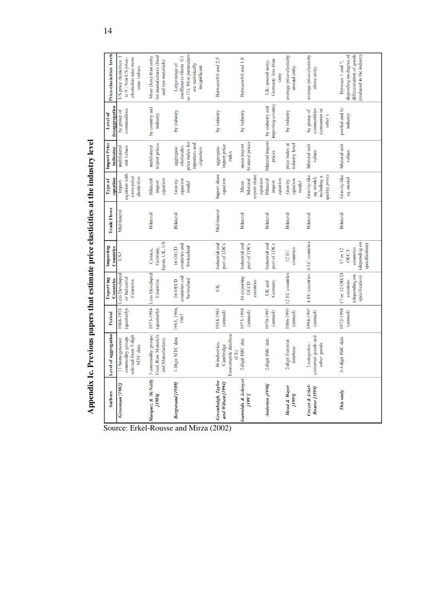| <b>Authors</b>                           | Level of aggregation                                                              | Period                   | Exporting<br>Countries                                       | Importing<br>Countries                                                  | <b>Trade Flows</b> | equation<br>Type of                                     | <b>Import Price</b><br>indicator                                         | desaggregation<br>Level of                          | Price-elasticities levels                                                                                 |
|------------------------------------------|-----------------------------------------------------------------------------------|--------------------------|--------------------------------------------------------------|-------------------------------------------------------------------------|--------------------|---------------------------------------------------------|--------------------------------------------------------------------------|-----------------------------------------------------|-----------------------------------------------------------------------------------------------------------|
| Grossman [1982]                          | selected from 7-digit<br>commodity groups<br>11 'homogeneous'<br>SITC data        | (quarterly)<br>1968-1978 | <b>Less Developed</b><br>or Industrial<br>Countries          | <b>USA</b>                                                              | Multilateral       | equation with<br>cross-price<br>elasticities<br>Import  | multilateral<br>unit values                                              | commodities<br>by group of                          | US price elasticities: 1<br>elasticities take more<br>to 9; Non-US price-<br>usual values.                |
|                                          | Marquez & McNeilly 3 commodity groups:<br>Food, Raw Materials<br>and Manufactures | 1973-1984<br>(quarterly) | Less Developed<br>Countries                                  | lapan, UK, US<br>Germany,<br>Canada,                                    | <b>Bilateral</b>   | Bilateral<br>equation<br>import                         | import prices<br>multilateral                                            | by country and<br>industry                          | for manufactures (food<br>More (less) than unity<br>and raw materials)                                    |
| Bergstrand [1989]                        | 1-Digit SITC data                                                                 | 1965, 1966,<br>1967      | countries and<br>Switzeland<br>16 OECD                       | countries and<br>Switzeland<br>16 OECD                                  | Bilateral          | equation<br>Gravity<br>model                            | price index for<br>importers and<br>wholesales<br>aggregate<br>exporters | by industry                                         | to 11). Most parameters<br>coefficients (from 0.1<br>Large range of<br>are statistically<br>insignificant |
| Greenhalgh, Taylor<br>and Wilson [1994]  | Econometric database<br>36 industries,<br>Cambridge                               | 1954-1985<br>(annual)    | UК                                                           | Industrial and<br>part of LDCs                                          | Multilateral       | Import share<br>equation                                | import price<br>aggregate<br>index                                       | by industry                                         | Between 0.0 and 2.5                                                                                       |
| <b>Ioannidis &amp; Schreyer</b><br>17997 | 2-digit ISIC data                                                                 | 1975-1994<br>(annual)    | 10 exporting<br>countries<br><b>OECD</b>                     | Industrial and<br>part of LDCs                                          | Bilateral          | export share<br>bilateral<br>equation<br>Mean           | bilateral prices<br>mean import                                          | by industry                                         | Between 0.0 and 1.8                                                                                       |
| Anderton [1998]                          | 2-digit ISIC data                                                                 | 1970-1987<br>(annual)    | Germany<br>UK and                                            | Industrial and<br>part of LDCs                                          | Bilateral          | Bilateral<br>equation<br>import                         | bilateral import<br>prices                                               | importing country<br>by industry and                | Germany: less than<br>UK: around unity;<br>unity                                                          |
| <b>Head &amp; Mayer</b><br>16661         | 2-digit Eurostat<br>database                                                      | 1986-1995<br>(annual)    | 12 EC countries                                              | countries<br>$12$ EC                                                    | Bilateral          | equation<br>Gravity<br>model                            | price index at<br>industry level                                         | by industry                                         | average price-elasticity<br>around unity.                                                                 |
| Crozet & Erkel-<br>Rousse [1999]         | consumer goods and<br>2 categories :<br>other goods                               | 1994-1997<br>(annual)    | 4 EC countries 4 EC countries                                |                                                                         | Bilateral          | Gravity-like<br>youd kitml<br>including a<br>eq. model, | bilateral unit<br>values                                                 | commodities<br>consumer or<br>by group of<br>other) | average price-elasticity<br>above unity.                                                                  |
| This study                               | 3-4 digit ISIC data                                                               | 1972-1994<br>(annual)    | 17 or 12 OECD<br>depending on<br>specification)<br>countries | (depending on<br>specification)<br>countries<br>17 or 12<br><b>OECD</b> | Bilateral          | Gravity-like<br>eq. model                               | bilateral unit<br>values                                                 | pooled and by<br>industry                           | differentiation of goods<br>produced in the industry<br>depending on degree of<br>Between 1 and 7,        |

Appendix Ic. Previous papers that estimate price elasticities at the industry level **Appendix Ic. Previous papers that estimate price elasticities at the industry level** 

Source: Erkel-Rousse and Mirza (2002)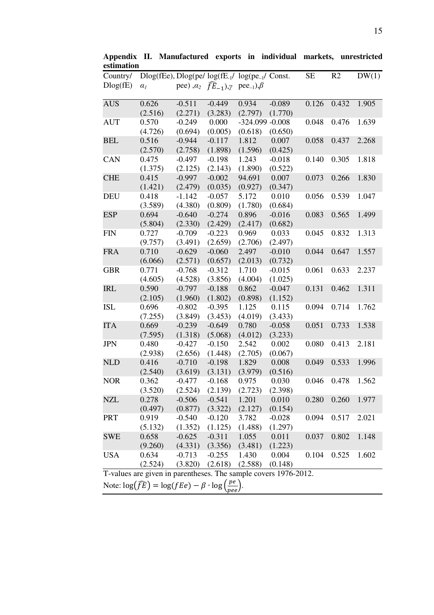| Country/   | $Dlog($ fEe), $Dlog($ pe/ $log($ fE <sub>-1</sub> / $log($ pe <sub>-1</sub> / $Const.$ |                                                                           |          |                    |          | $\rm SE$ | R2    | DW(1) |
|------------|----------------------------------------------------------------------------------------|---------------------------------------------------------------------------|----------|--------------------|----------|----------|-------|-------|
| Dlog(fE)   | $\alpha$ <sub>1</sub>                                                                  | pee), $\alpha_2$ $\widehat{f}_{t-1}(\gamma)$ pee <sub>-1</sub> ), $\beta$ |          |                    |          |          |       |       |
|            |                                                                                        |                                                                           |          |                    |          |          |       |       |
| <b>AUS</b> | 0.626                                                                                  | $-0.511$                                                                  | $-0.449$ | 0.934              | $-0.089$ | 0.126    | 0.432 | 1.905 |
|            | (2.516)                                                                                | (2.271)                                                                   | (3.283)  | (2.797)            | (1.770)  |          |       |       |
| <b>AUT</b> | 0.570                                                                                  | $-0.249$                                                                  | 0.000    | $-324.099 - 0.008$ |          | 0.048    | 0.476 | 1.639 |
|            | (4.726)                                                                                | (0.694)                                                                   | (0.005)  | (0.618)            | (0.650)  |          |       |       |
| <b>BEL</b> | 0.516                                                                                  | $-0.944$                                                                  | $-0.117$ | 1.812              | 0.007    | 0.058    | 0.437 | 2.268 |
|            | (2.570)                                                                                | (2.758)                                                                   | (1.898)  | (1.596)            | (0.425)  |          |       |       |
| CAN        | 0.475                                                                                  | $-0.497$                                                                  | $-0.198$ | 1.243              | $-0.018$ | 0.140    | 0.305 | 1.818 |
|            | (1.375)                                                                                | (2.125)                                                                   | (2.143)  | (1.890)            | (0.522)  |          |       |       |
| <b>CHE</b> | 0.415                                                                                  | $-0.997$                                                                  | $-0.002$ | 94.691             | 0.007    | 0.073    | 0.266 | 1.830 |
|            | (1.421)                                                                                | (2.479)                                                                   | (0.035)  | (0.927)            | (0.347)  |          |       |       |
| <b>DEU</b> | 0.418                                                                                  | $-1.142$                                                                  | $-0.057$ | 5.172              | 0.010    | 0.056    | 0.539 | 1.047 |
|            | (3.589)                                                                                | (4.380)                                                                   | (0.809)  | (1.780)            | (0.684)  |          |       |       |
| <b>ESP</b> | 0.694                                                                                  | $-0.640$                                                                  | $-0.274$ | 0.896              | $-0.016$ | 0.083    | 0.565 | 1.499 |
|            | (5.804)                                                                                | (2.330)                                                                   | (2.429)  | (2.417)            | (0.682)  |          |       |       |
| <b>FIN</b> | 0.727                                                                                  | $-0.709$                                                                  | $-0.223$ | 0.969              | 0.033    | 0.045    | 0.832 | 1.313 |
|            | (9.757)                                                                                | (3.491)                                                                   | (2.659)  | (2.706)            | (2.497)  |          |       |       |
| <b>FRA</b> | 0.710                                                                                  | $-0.629$                                                                  | $-0.060$ | 2.497              | $-0.010$ | 0.044    | 0.647 | 1.557 |
|            | (6.066)                                                                                | (2.571)                                                                   | (0.657)  | (2.013)            | (0.732)  |          |       |       |
| <b>GBR</b> | 0.771                                                                                  | $-0.768$                                                                  | $-0.312$ | 1.710              | $-0.015$ | 0.061    | 0.633 | 2.237 |
|            | (4.605)                                                                                | (4.528)                                                                   | (3.856)  | (4.004)            | (1.025)  |          |       |       |
| <b>IRL</b> | 0.590                                                                                  | $-0.797$                                                                  | $-0.188$ | 0.862              | $-0.047$ | 0.131    | 0.462 | 1.311 |
|            | (2.105)                                                                                | (1.960)                                                                   | (1.802)  | (0.898)            | (1.152)  |          |       |       |
| <b>ISL</b> | 0.696                                                                                  | $-0.802$                                                                  | $-0.395$ | 1.125              | 0.115    | 0.094    | 0.714 | 1.762 |
|            | (7.255)                                                                                | (3.849)                                                                   | (3.453)  | (4.019)            | (3.433)  |          |       |       |
| <b>ITA</b> | 0.669                                                                                  | $-0.239$                                                                  | $-0.649$ | 0.780              | $-0.058$ | 0.051    | 0.733 | 1.538 |
|            | (7.595)                                                                                | (1.318)                                                                   | (5.068)  | (4.012)            | (3.233)  |          |       |       |
| <b>JPN</b> | 0.480                                                                                  | $-0.427$                                                                  | $-0.150$ | 2.542              | 0.002    | 0.080    | 0.413 | 2.181 |
|            | (2.938)                                                                                | (2.656)                                                                   | (1.448)  | (2.705)            | (0.067)  |          |       |       |
| <b>NLD</b> | 0.416                                                                                  | $-0.710$                                                                  | $-0.198$ | 1.829              | 0.008    | 0.049    | 0.533 | 1.996 |
|            | (2.540)                                                                                | (3.619)                                                                   | (3.131)  | (3.979)            | (0.516)  |          |       |       |
| <b>NOR</b> | 0.362                                                                                  | $-0.477$                                                                  | $-0.168$ | 0.975              | 0.030    | 0.046    | 0.478 | 1.562 |
|            | (3.520)                                                                                | (2.524)                                                                   | (2.139)  | (2.723)            | (2.398)  |          |       |       |
| <b>NZL</b> | 0.278                                                                                  | $-0.506$                                                                  | $-0.541$ | 1.201              | 0.010    | 0.280    | 0.260 | 1.977 |
|            | (0.497)                                                                                | (0.877)                                                                   | (3.322)  | (2.127)            | (0.154)  |          |       |       |
| <b>PRT</b> | 0.919                                                                                  | $-0.540$                                                                  | $-0.120$ | 3.782              | $-0.028$ | 0.094    | 0.517 | 2.021 |
|            | (5.132)                                                                                | (1.352)                                                                   | (1.125)  | (1.488)            | (1.297)  |          |       |       |
| <b>SWE</b> | 0.658                                                                                  | $-0.625$                                                                  | $-0.311$ | 1.055              | 0.011    | 0.037    | 0.802 | 1.148 |
|            | (9.260)                                                                                | (4.331)                                                                   | (3.356)  | (3.481)            | (1.223)  |          |       |       |
| <b>USA</b> | 0.634                                                                                  | $-0.713$                                                                  | $-0.255$ | 1.430              | 0.004    | 0.104    | 0.525 | 1.602 |
|            | (2.524)                                                                                | (3.820)                                                                   | (2.618)  | (2.588)            | (0.148)  |          |       |       |
|            | T-values are given in parentheses. The sample covers 1976-2012.                        |                                                                           |          |                    |          |          |       |       |
|            | Note: $\log(\widehat{fE}) = \log(fEe) - \beta \cdot \log\left(\frac{pe}{pee}\right)$ . |                                                                           |          |                    |          |          |       |       |

**Appendix II. Manufactured exports in individual markets, unrestricted estimation**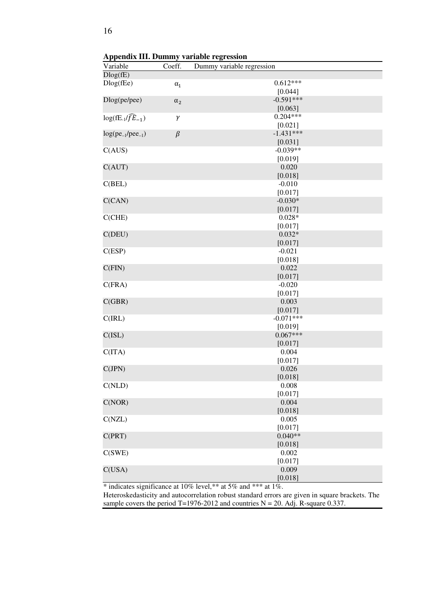|                              |            | <b>Appendix III. Dummy variable regression</b> |
|------------------------------|------------|------------------------------------------------|
| Variable                     | Coeff.     | Dummy variable regression                      |
| Dlog(fE)                     |            |                                                |
| Dlog(fEe)                    | $\alpha_1$ | $0.612***$                                     |
|                              |            | [0.044]                                        |
| Dlog(pe/pee)                 | $\alpha_2$ | $-0.591***$                                    |
|                              |            | [0.063]                                        |
| $log(E_1/\widehat{fE}_{-1})$ | γ          | $0.204***$                                     |
|                              |            | [0.021]                                        |
| $log(pe_{-1}/pee_{-1})$      | $\beta$    | $-1.431***$                                    |
|                              |            | [0.031]                                        |
| C(AUS)                       |            | $-0.039**$                                     |
|                              |            | [0.019]                                        |
| C(AUT)                       |            | 0.020                                          |
|                              |            | [0.018]                                        |
| C(BEL)                       |            | $-0.010$                                       |
|                              |            | [0.017]                                        |
| C(CAN)                       |            | $-0.030*$                                      |
|                              |            | [0.017]                                        |
| C(CHE)                       |            | $0.028*$                                       |
|                              |            | [0.017]                                        |
| C(DEU)                       |            | $0.032*$                                       |
|                              |            | [0.017]                                        |
| C(ESP)                       |            | $-0.021$                                       |
|                              |            | [0.018]                                        |
| C(FIN)                       |            | 0.022                                          |
|                              |            | [0.017]                                        |
| C(FRA)                       |            | $-0.020$                                       |
|                              |            | [0.017]                                        |
| C(GBR)                       |            | 0.003                                          |
|                              |            | [0.017]                                        |
| C(IRL)                       |            | $-0.071***$                                    |
|                              |            | [0.019]                                        |
| C(ISL)                       |            | $0.067***$                                     |
|                              |            | [0.017]                                        |
| C(ITA)                       |            | 0.004                                          |
|                              |            | [0.017]                                        |
| C(JPN)                       |            | 0.026<br>[0.018]                               |
|                              |            |                                                |
| C(NLD)                       |            | 0.008                                          |
|                              |            | [0.017]<br>0.004                               |
| C(NORMAL)                    |            | [0.018]                                        |
|                              |            | 0.005                                          |
| C(NZL)                       |            | [0.017]                                        |
| C(PRT)                       |            | $0.040**$                                      |
|                              |            | [0.018]                                        |
| C(SWE)                       |            | 0.002                                          |
|                              |            | [0.017]                                        |
| C(USA)                       |            | 0.009                                          |
|                              |            | [0.018]                                        |
|                              |            |                                                |

\* indicates significance at 10% level,\*\* at 5% and \*\*\* at 1%.

Heteroskedasticity and autocorrelation robust standard errors are given in square brackets. The sample covers the period T=1976-2012 and countries  $N = 20$ . Adj. R-square 0.337.